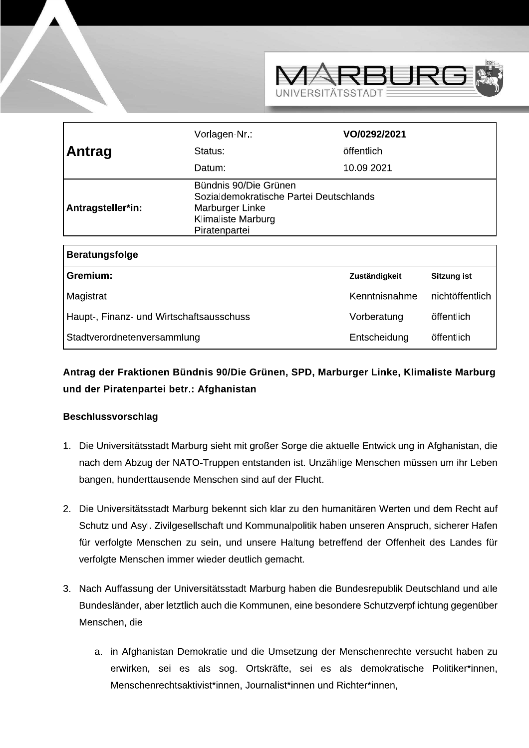

|                                          | Vorlagen-Nr.:                                                                                                              | VO/0292/2021  |                    |
|------------------------------------------|----------------------------------------------------------------------------------------------------------------------------|---------------|--------------------|
| Antrag                                   | Status:                                                                                                                    | öffentlich    |                    |
|                                          | Datum:                                                                                                                     | 10.09.2021    |                    |
| Antragsteller*in:                        | Bündnis 90/Die Grünen<br>Sozialdemokratische Partei Deutschlands<br>Marburger Linke<br>Klimaliste Marburg<br>Piratenpartei |               |                    |
| <b>Beratungsfolge</b>                    |                                                                                                                            |               |                    |
| Gremium:                                 |                                                                                                                            | Zuständigkeit | <b>Sitzung ist</b> |
| Magistrat                                |                                                                                                                            | Kenntnisnahme | nichtöffentlich    |
| Haupt-, Finanz- und Wirtschaftsausschuss |                                                                                                                            | Vorberatung   | öffentlich         |
| Stadtverordnetenversammlung              |                                                                                                                            | Entscheidung  | öffentlich         |

## Antrag der Fraktionen Bündnis 90/Die Grünen, SPD, Marburger Linke, Klimaliste Marburg und der Piratenpartei betr.: Afghanistan

## **Beschlussvorschlag**

- 1. Die Universitätsstadt Marburg sieht mit großer Sorge die aktuelle Entwicklung in Afghanistan, die nach dem Abzug der NATO-Truppen entstanden ist. Unzählige Menschen müssen um ihr Leben bangen, hunderttausende Menschen sind auf der Flucht.
- 2. Die Universitätsstadt Marburg bekennt sich klar zu den humanitären Werten und dem Recht auf Schutz und Asyl. Zivilgesellschaft und Kommunalpolitik haben unseren Anspruch, sicherer Hafen für verfolgte Menschen zu sein, und unsere Haltung betreffend der Offenheit des Landes für verfolgte Menschen immer wieder deutlich gemacht.
- 3. Nach Auffassung der Universitätsstadt Marburg haben die Bundesrepublik Deutschland und alle Bundesländer, aber letztlich auch die Kommunen, eine besondere Schutzverpflichtung gegenüber Menschen, die
	- a. in Afghanistan Demokratie und die Umsetzung der Menschenrechte versucht haben zu erwirken, sei es als sog. Ortskräfte, sei es als demokratische Politiker\*innen, Menschenrechtsaktivist\*innen, Journalist\*innen und Richter\*innen,